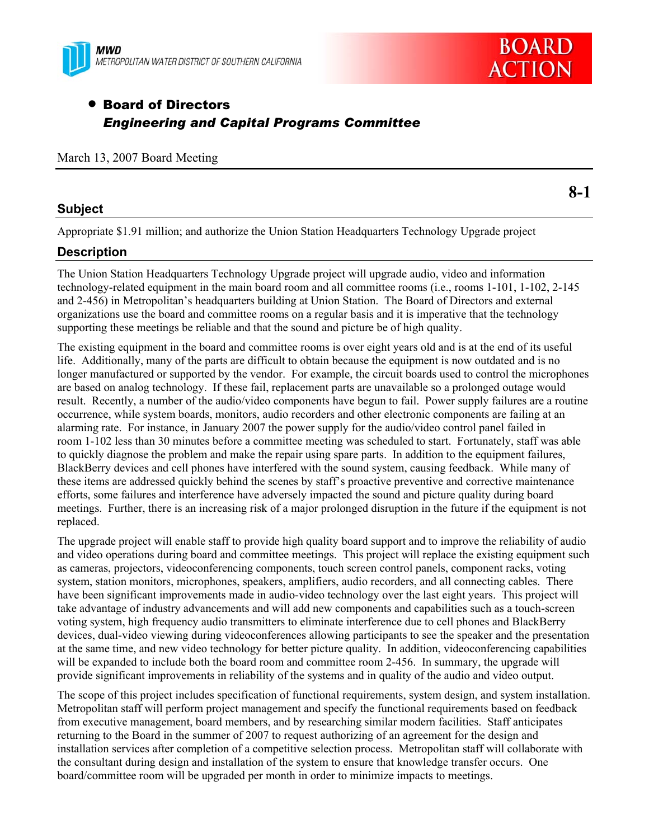



**8-1** 

# • Board of Directors *Engineering and Capital Programs Committee*

|  |  |  |  | March 13, 2007 Board Meeting |
|--|--|--|--|------------------------------|
|--|--|--|--|------------------------------|

### **Subject**

Appropriate \$1.91 million; and authorize the Union Station Headquarters Technology Upgrade project

## **Description**

The Union Station Headquarters Technology Upgrade project will upgrade audio, video and information technology-related equipment in the main board room and all committee rooms (i.e., rooms 1-101, 1-102, 2-145 and 2-456) in Metropolitan's headquarters building at Union Station. The Board of Directors and external organizations use the board and committee rooms on a regular basis and it is imperative that the technology supporting these meetings be reliable and that the sound and picture be of high quality.

The existing equipment in the board and committee rooms is over eight years old and is at the end of its useful life. Additionally, many of the parts are difficult to obtain because the equipment is now outdated and is no longer manufactured or supported by the vendor. For example, the circuit boards used to control the microphones are based on analog technology. If these fail, replacement parts are unavailable so a prolonged outage would result. Recently, a number of the audio/video components have begun to fail. Power supply failures are a routine occurrence, while system boards, monitors, audio recorders and other electronic components are failing at an alarming rate. For instance, in January 2007 the power supply for the audio/video control panel failed in room 1-102 less than 30 minutes before a committee meeting was scheduled to start. Fortunately, staff was able to quickly diagnose the problem and make the repair using spare parts. In addition to the equipment failures, BlackBerry devices and cell phones have interfered with the sound system, causing feedback. While many of these items are addressed quickly behind the scenes by staff's proactive preventive and corrective maintenance efforts, some failures and interference have adversely impacted the sound and picture quality during board meetings. Further, there is an increasing risk of a major prolonged disruption in the future if the equipment is not replaced.

The upgrade project will enable staff to provide high quality board support and to improve the reliability of audio and video operations during board and committee meetings. This project will replace the existing equipment such as cameras, projectors, videoconferencing components, touch screen control panels, component racks, voting system, station monitors, microphones, speakers, amplifiers, audio recorders, and all connecting cables. There have been significant improvements made in audio-video technology over the last eight years. This project will take advantage of industry advancements and will add new components and capabilities such as a touch-screen voting system, high frequency audio transmitters to eliminate interference due to cell phones and BlackBerry devices, dual-video viewing during videoconferences allowing participants to see the speaker and the presentation at the same time, and new video technology for better picture quality. In addition, videoconferencing capabilities will be expanded to include both the board room and committee room 2-456. In summary, the upgrade will provide significant improvements in reliability of the systems and in quality of the audio and video output.

The scope of this project includes specification of functional requirements, system design, and system installation. Metropolitan staff will perform project management and specify the functional requirements based on feedback from executive management, board members, and by researching similar modern facilities. Staff anticipates returning to the Board in the summer of 2007 to request authorizing of an agreement for the design and installation services after completion of a competitive selection process. Metropolitan staff will collaborate with the consultant during design and installation of the system to ensure that knowledge transfer occurs. One board/committee room will be upgraded per month in order to minimize impacts to meetings.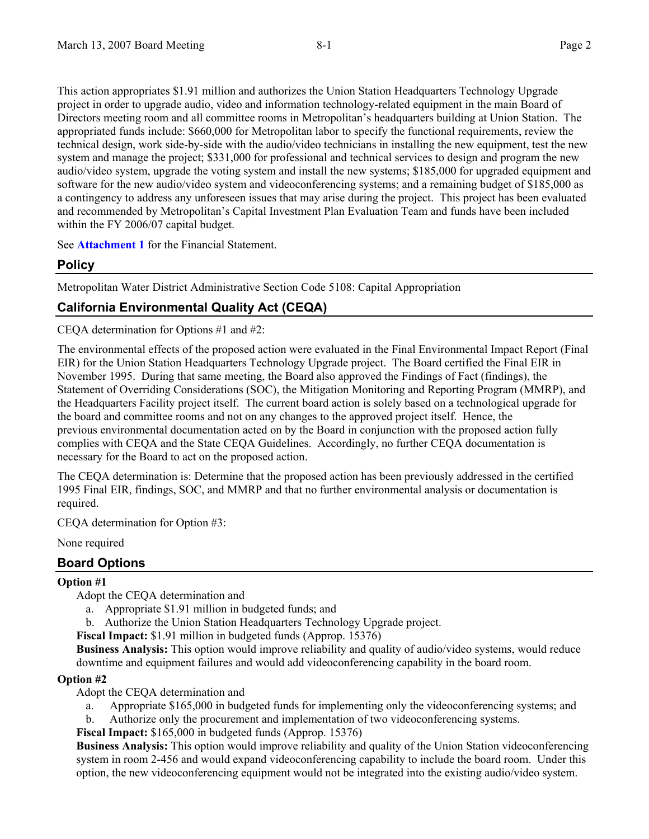This action appropriates \$1.91 million and authorizes the Union Station Headquarters Technology Upgrade project in order to upgrade audio, video and information technology-related equipment in the main Board of Directors meeting room and all committee rooms in Metropolitan's headquarters building at Union Station. The appropriated funds include: \$660,000 for Metropolitan labor to specify the functional requirements, review the technical design, work side-by-side with the audio/video technicians in installing the new equipment, test the new system and manage the project; \$331,000 for professional and technical services to design and program the new audio/video system, upgrade the voting system and install the new systems; \$185,000 for upgraded equipment and software for the new audio/video system and videoconferencing systems; and a remaining budget of \$185,000 as a contingency to address any unforeseen issues that may arise during the project. This project has been evaluated and recommended by Metropolitan's Capital Investment Plan Evaluation Team and funds have been included within the FY 2006/07 capital budget.

See **Attachment 1** for the Financial Statement.

## **Policy**

Metropolitan Water District Administrative Section Code 5108: Capital Appropriation

## **California Environmental Quality Act (CEQA)**

CEQA determination for Options #1 and #2:

The environmental effects of the proposed action were evaluated in the Final Environmental Impact Report (Final EIR) for the Union Station Headquarters Technology Upgrade project. The Board certified the Final EIR in November 1995. During that same meeting, the Board also approved the Findings of Fact (findings), the Statement of Overriding Considerations (SOC), the Mitigation Monitoring and Reporting Program (MMRP), and the Headquarters Facility project itself. The current board action is solely based on a technological upgrade for the board and committee rooms and not on any changes to the approved project itself. Hence, the previous environmental documentation acted on by the Board in conjunction with the proposed action fully complies with CEQA and the State CEQA Guidelines. Accordingly, no further CEQA documentation is necessary for the Board to act on the proposed action.

The CEQA determination is: Determine that the proposed action has been previously addressed in the certified 1995 Final EIR, findings, SOC, and MMRP and that no further environmental analysis or documentation is required.

CEQA determination for Option #3:

None required

## **Board Options**

### **Option #1**

- Adopt the CEQA determination and
	- a. Appropriate \$1.91 million in budgeted funds; and
- b. Authorize the Union Station Headquarters Technology Upgrade project.
- **Fiscal Impact:** \$1.91 million in budgeted funds (Approp. 15376)

**Business Analysis:** This option would improve reliability and quality of audio/video systems, would reduce downtime and equipment failures and would add videoconferencing capability in the board room.

#### **Option #2**

Adopt the CEQA determination and

- a. Appropriate \$165,000 in budgeted funds for implementing only the videoconferencing systems; and
- b. Authorize only the procurement and implementation of two videoconferencing systems.

**Fiscal Impact:** \$165,000 in budgeted funds (Approp. 15376)

**Business Analysis:** This option would improve reliability and quality of the Union Station videoconferencing system in room 2-456 and would expand videoconferencing capability to include the board room. Under this option, the new videoconferencing equipment would not be integrated into the existing audio/video system.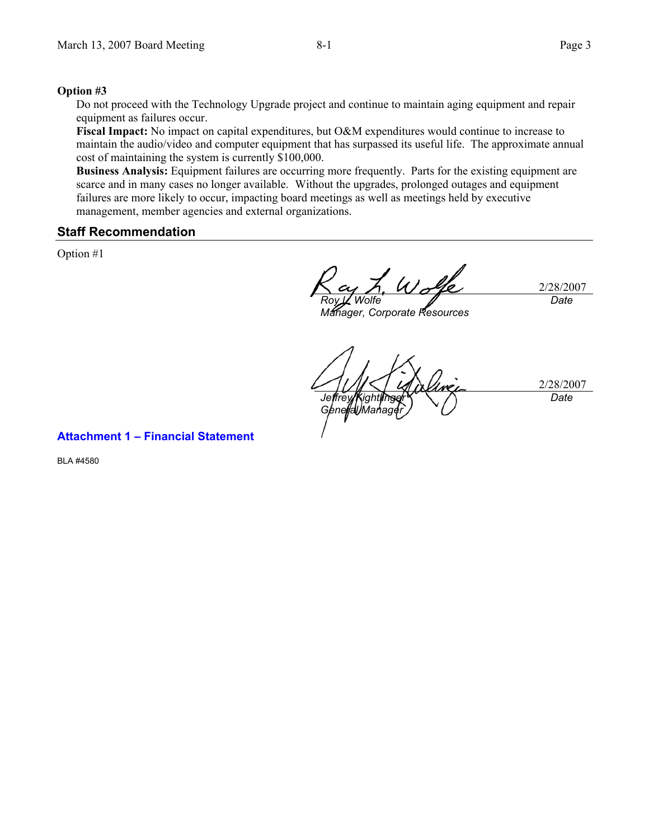#### **Option #3**

Do not proceed with the Technology Upgrade project and continue to maintain aging equipment and repair equipment as failures occur.

**Fiscal Impact:** No impact on capital expenditures, but O&M expenditures would continue to increase to maintain the audio/video and computer equipment that has surpassed its useful life. The approximate annual cost of maintaining the system is currently \$100,000.

**Business Analysis:** Equipment failures are occurring more frequently. Parts for the existing equipment are scarce and in many cases no longer available.Without the upgrades, prolonged outages and equipment failures are more likely to occur, impacting board meetings as well as meetings held by executive management, member agencies and external organizations.

#### **Staff Recommendation**

Option #1

2/28/2007 *Roy L. Wolfe Date* 

*Manager, Corporate Resources* 

2/28/2007 *Jeffrey Kightl General Manager Date* 

#### **Attachment 1 – Financial Statement**

BLA #4580